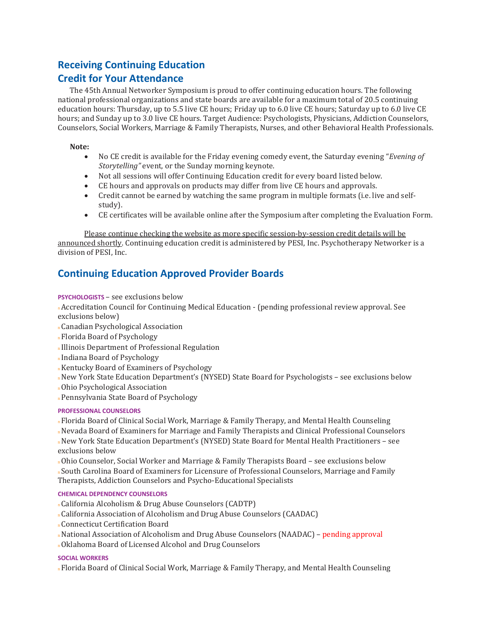# **Receiving Continuing Education**

# **Credit for Your Attendance**

The 45th Annual Networker Symposium is proud to offer continuing education hours. The following national professional organizations and state boards are available for a maximum total of 20.5 continuing education hours: Thursday, up to 5.5 live CE hours; Friday up to 6.0 live CE hours; Saturday up to 6.0 live CE hours; and Sunday up to 3.0 live CE hours. Target Audience: Psychologists, Physicians, Addiction Counselors, Counselors, Social Workers, Marriage & Family Therapists, Nurses, and other Behavioral Health Professionals.

## **Note:**

- No CE credit is available for the Friday evening comedy event, the Saturday evening "*Evening of Storytelling"* event, or the Sunday morning keynote.
- Not all sessions will offer Continuing Education credit for every board listed below.
- CE hours and approvals on products may differ from live CE hours and approvals.
- Credit cannot be earned by watching the same program in multiple formats (i.e. live and selfstudy).
- CE certificates will be available online after the Symposium after completing the Evaluation Form.

Please continue checking the website as more specific session-by-session credit details will be announced shortly. Continuing education credit is administered by PESI, Inc. Psychotherapy Networker is a division of PESI, Inc.

# **Continuing Education Approved Provider Boards**

## **PSYCHOLOGISTS** – see exclusions below

<sup>n</sup>Accreditation Council for Continuing Medical Education - (pending professional review approval. See exclusions below)

- n Canadian Psychological Association
- n Florida Board of Psychology
- n Illinois Department of Professional Regulation
- n Indiana Board of Psychology
- n Kentucky Board of Examiners of Psychology
- n New York State Education Department's (NYSED) State Board for Psychologists see exclusions below
- n Ohio Psychological Association
- n Pennsylvania State Board of Psychology

### **PROFESSIONAL COUNSELORS**

<sup>n</sup>Florida Board of Clinical Social Work, Marriage & Family Therapy, and Mental Health Counseling

n Nevada Board of Examiners for Marriage and Family Therapists and Clinical Professional Counselors

n New York State Education Department's (NYSED) State Board for Mental Health Practitioners – see exclusions below

n Ohio Counselor, Social Worker and Marriage & Family Therapists Board – see exclusions below n South Carolina Board of Examiners for Licensure of Professional Counselors, Marriage and Family Therapists, Addiction Counselors and Psycho-Educational Specialists

### **CHEMICAL DEPENDENCY COUNSELORS**

- <sup>n</sup>California Alcoholism & Drug Abuse Counselors (CADTP)
- n California Association of Alcoholism and Drug Abuse Counselors (CAADAC)
- n Connecticut Certification Board
- n National Association of Alcoholism and Drug Abuse Counselors (NAADAC) pending approval
- n Oklahoma Board of Licensed Alcohol and Drug Counselors

### **SOCIAL WORKERS**

n Florida Board of Clinical Social Work, Marriage & Family Therapy, and Mental Health Counseling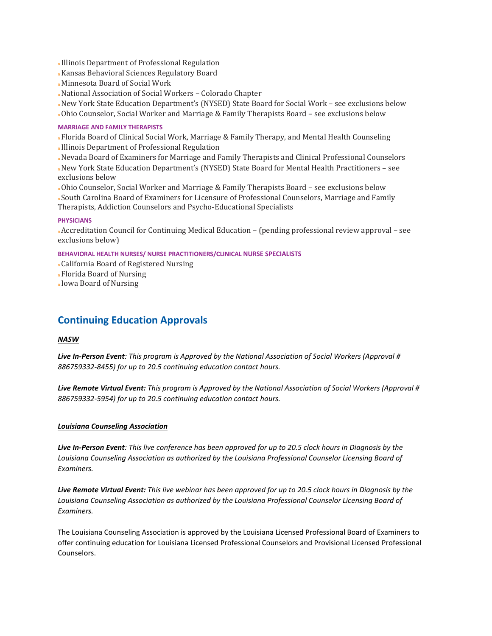- n Illinois Department of Professional Regulation
- n Kansas Behavioral Sciences Regulatory Board
- n Minnesota Board of Social Work
- n National Association of Social Workers Colorado Chapter
- n New York State Education Department's (NYSED) State Board for Social Work see exclusions below
- n Ohio Counselor, Social Worker and Marriage & Family Therapists Board see exclusions below

#### **MARRIAGE AND FAMILY THERAPISTS**

<sup>n</sup>Florida Board of Clinical Social Work, Marriage & Family Therapy, and Mental Health Counseling

- n Illinois Department of Professional Regulation
- n Nevada Board of Examiners for Marriage and Family Therapists and Clinical Professional Counselors n New York State Education Department's (NYSED) State Board for Mental Health Practitioners – see exclusions below

n Ohio Counselor, Social Worker and Marriage & Family Therapists Board – see exclusions below n South Carolina Board of Examiners for Licensure of Professional Counselors, Marriage and Family Therapists, Addiction Counselors and Psycho-Educational Specialists

#### **PHYSICIANS**

<sup>n</sup>Accreditation Council for Continuing Medical Education – (pending professional review approval – see exclusions below)

**BEHAVIORAL HEALTH NURSES/ NURSE PRACTITIONERS/CLINICAL NURSE SPECIALISTS** 

- <sup>n</sup>California Board of Registered Nursing
- n Florida Board of Nursing
- n Iowa Board of Nursing

# **Continuing Education Approvals**

#### *NASW*

*Live In-Person Event: This program is Approved by the National Association of Social Workers (Approval # 886759332-8455) for up to 20.5 continuing education contact hours.*

*Live Remote Virtual Event: This program is Approved by the National Association of Social Workers (Approval # 886759332-5954) for up to 20.5 continuing education contact hours.*

#### *Louisiana Counseling Association*

*Live In-Person Event: This live conference has been approved for up to 20.5 clock hours in Diagnosis by the Louisiana Counseling Association as authorized by the Louisiana Professional Counselor Licensing Board of Examiners.* 

*Live Remote Virtual Event: This live webinar has been approved for up to 20.5 clock hours in Diagnosis by the Louisiana Counseling Association as authorized by the Louisiana Professional Counselor Licensing Board of Examiners.* 

The Louisiana Counseling Association is approved by the Louisiana Licensed Professional Board of Examiners to offer continuing education for Louisiana Licensed Professional Counselors and Provisional Licensed Professional Counselors.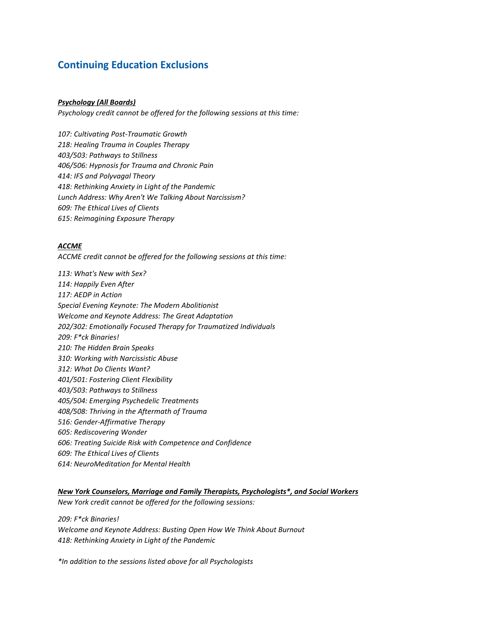# **Continuing Education Exclusions**

#### *Psychology (All Boards)*

*Psychology credit cannot be offered for the following sessions at this time:*

*107: Cultivating Post-Traumatic Growth 218: Healing Trauma in Couples Therapy 403/503: Pathways to Stillness 406/506: Hypnosis for Trauma and Chronic Pain 414: IFS and Polyvagal Theory 418: Rethinking Anxiety in Light of the Pandemic Lunch Address: Why Aren't We Talking About Narcissism? 609: The Ethical Lives of Clients 615: Reimagining Exposure Therapy*

#### *ACCME*

*ACCME credit cannot be offered for the following sessions at this time:*

*113: What's New with Sex? 114: Happily Even After 117: AEDP in Action Special Evening Keynote: The Modern Abolitionist Welcome and Keynote Address: The Great Adaptation 202/302: Emotionally Focused Therapy for Traumatized Individuals 209: F\*ck Binaries! 210: The Hidden Brain Speaks 310: Working with Narcissistic Abuse 312: What Do Clients Want? 401/501: Fostering Client Flexibility 403/503: Pathways to Stillness 405/504: Emerging Psychedelic Treatments 408/508: Thriving in the Aftermath of Trauma 516: Gender-Affirmative Therapy 605: Rediscovering Wonder 606: Treating Suicide Risk with Competence and Confidence 609: The Ethical Lives of Clients 614: NeuroMeditation for Mental Health*

*New York Counselors, Marriage and Family Therapists, Psychologists\*, and Social Workers New York credit cannot be offered for the following sessions:*

*209: F\*ck Binaries! Welcome and Keynote Address: Busting Open How We Think About Burnout 418: Rethinking Anxiety in Light of the Pandemic*

*\*In addition to the sessions listed above for all Psychologists*